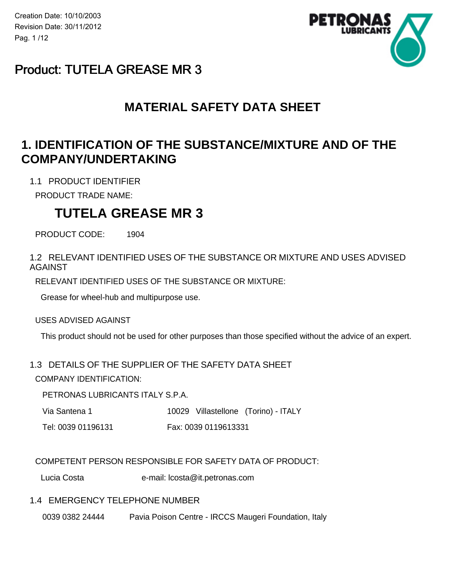Creation Date: 10/10/2003 Revision Date: 30/11/2012 Pag. 1 /12



## Product: TUTELA GREASE MR 3

## **MATERIAL SAFETY DATA SHEET**

## **1. IDENTIFICATION OF THE SUBSTANCE/MIXTURE AND OF THE COMPANY/UNDERTAKING**

1.1 PRODUCT IDENTIFIER

PRODUCT TRADE NAME:

## **TUTELA GREASE MR 3**

PRODUCT CODE: 1904

1.2 RELEVANT IDENTIFIED USES OF THE SUBSTANCE OR MIXTURE AND USES ADVISED AGAINST

RELEVANT IDENTIFIED USES OF THE SUBSTANCE OR MIXTURE:

Grease for wheel-hub and multipurpose use.

USES ADVISED AGAINST

This product should not be used for other purposes than those specified without the advice of an expert.

### 1.3 DETAILS OF THE SUPPLIER OF THE SAFETY DATA SHEET

COMPANY IDENTIFICATION:

PETRONAS LUBRICANTS ITALY S.P.A.

- Via Santena 1 10029 Villastellone (Torino) ITALY
- Tel: 0039 01196131 Fax: 0039 0119613331

### COMPETENT PERSON RESPONSIBLE FOR SAFETY DATA OF PRODUCT:

Lucia Costa e-mail: lcosta@it.petronas.com

### 1.4 EMERGENCY TELEPHONE NUMBER

0039 0382 24444 Pavia Poison Centre - IRCCS Maugeri Foundation, Italy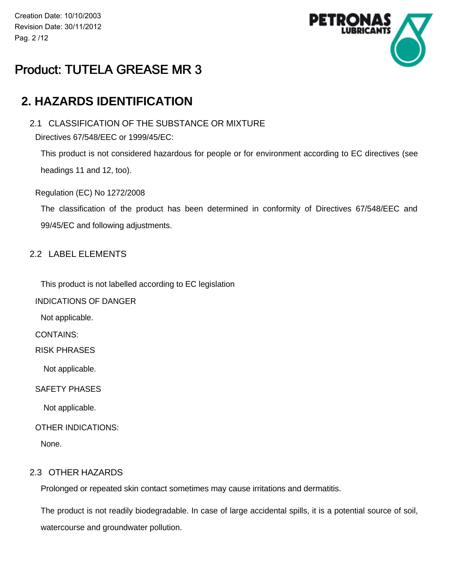Creation Date: 10/10/2003 Revision Date: 30/11/2012 Pag. 2 /12



# Product: TUTELA GREASE MR 3

## **2. HAZARDS IDENTIFICATION**

### 2.1 CLASSIFICATION OF THE SUBSTANCE OR MIXTURE

Directives 67/548/EEC or 1999/45/EC:

This product is not considered hazardous for people or for environment according to EC directives (see headings 11 and 12, too).

Regulation (EC) No 1272/2008

The classification of the product has been determined in conformity of Directives 67/548/EEC and 99/45/EC and following adjustments.

### 2.2 LABEL ELEMENTS

This product is not labelled according to EC legislation

INDICATIONS OF DANGER

Not applicable.

CONTAINS:

RISK PHRASES

Not applicable.

SAFETY PHASES

Not applicable.

OTHER INDICATIONS:

None.

#### 2.3 OTHER HAZARDS

Prolonged or repeated skin contact sometimes may cause irritations and dermatitis.

The product is not readily biodegradable. In case of large accidental spills, it is a potential source of soil, watercourse and groundwater pollution.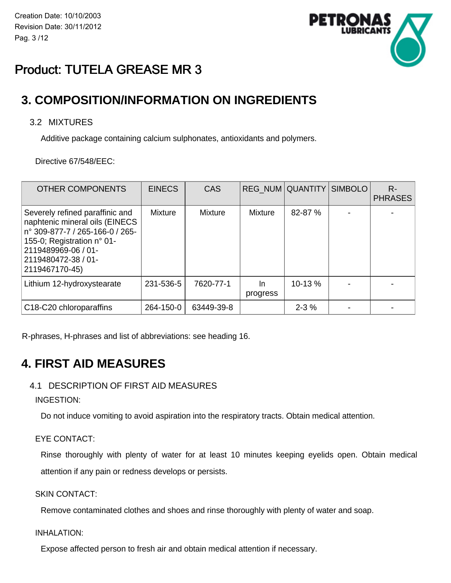

# Product: TUTELA GREASE MR 3

## **3. COMPOSITION/INFORMATION ON INGREDIENTS**

### 3.2 MIXTURES

Additive package containing calcium sulphonates, antioxidants and polymers.

Directive 67/548/EEC:

| <b>OTHER COMPONENTS</b>                                                                                                                                                                            | <b>EINECS</b> | CAS            |                | REG NUM QUANTITY SIMBOLO | $R -$<br><b>PHRASES</b> |
|----------------------------------------------------------------------------------------------------------------------------------------------------------------------------------------------------|---------------|----------------|----------------|--------------------------|-------------------------|
| Severely refined paraffinic and<br>naphtenic mineral oils (EINECS<br>n° 309-877-7 / 265-166-0 / 265-<br>155-0; Registration n° 01-<br>2119489969-06 / 01-<br>2119480472-38 / 01-<br>2119467170-45) | Mixture       | <b>Mixture</b> | <b>Mixture</b> | 82-87 %                  |                         |
| Lithium 12-hydroxystearate                                                                                                                                                                         | 231-536-5     | 7620-77-1      | In<br>progress | $10-13%$                 |                         |
| C18-C20 chloroparaffins                                                                                                                                                                            | 264-150-0     | 63449-39-8     |                | $2 - 3\%$                |                         |

R-phrases, H-phrases and list of abbreviations: see heading 16.

## **4. FIRST AID MEASURES**

### 4.1 DESCRIPTION OF FIRST AID MEASURES

INGESTION:

Do not induce vomiting to avoid aspiration into the respiratory tracts. Obtain medical attention.

#### EYE CONTACT:

Rinse thoroughly with plenty of water for at least 10 minutes keeping eyelids open. Obtain medical attention if any pain or redness develops or persists.

SKIN CONTACT:

Remove contaminated clothes and shoes and rinse thoroughly with plenty of water and soap.

INHALATION:

Expose affected person to fresh air and obtain medical attention if necessary.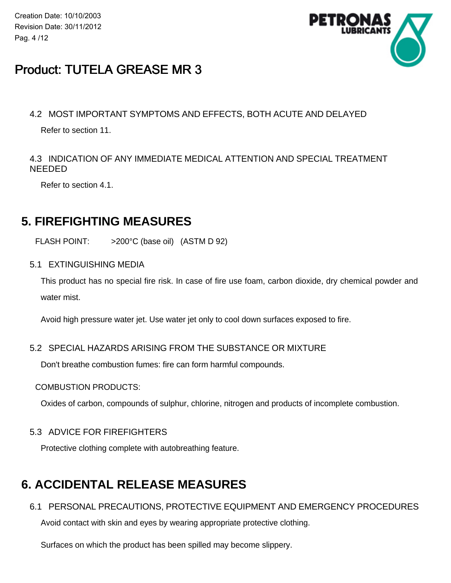Creation Date: 10/10/2003 Revision Date: 30/11/2012 Pag. 4 /12



# Product: TUTELA GREASE MR 3

### 4.2 MOST IMPORTANT SYMPTOMS AND EFFECTS, BOTH ACUTE AND DELAYED

Refer to section 11.

### 4.3 INDICATION OF ANY IMMEDIATE MEDICAL ATTENTION AND SPECIAL TREATMENT NEEDED

Refer to section 4.1.

## **5. FIREFIGHTING MEASURES**

FLASH POINT: >200°C (base oil) (ASTM D 92)

5.1 EXTINGUISHING MEDIA

This product has no special fire risk. In case of fire use foam, carbon dioxide, dry chemical powder and water mist.

Avoid high pressure water jet. Use water jet only to cool down surfaces exposed to fire.

### 5.2 SPECIAL HAZARDS ARISING FROM THE SUBSTANCE OR MIXTURE

Don't breathe combustion fumes: fire can form harmful compounds.

#### COMBUSTION PRODUCTS:

Oxides of carbon, compounds of sulphur, chlorine, nitrogen and products of incomplete combustion.

### 5.3 ADVICE FOR FIREFIGHTERS

Protective clothing complete with autobreathing feature.

# **6. ACCIDENTAL RELEASE MEASURES**

6.1 PERSONAL PRECAUTIONS, PROTECTIVE EQUIPMENT AND EMERGENCY PROCEDURES

Avoid contact with skin and eyes by wearing appropriate protective clothing.

Surfaces on which the product has been spilled may become slippery.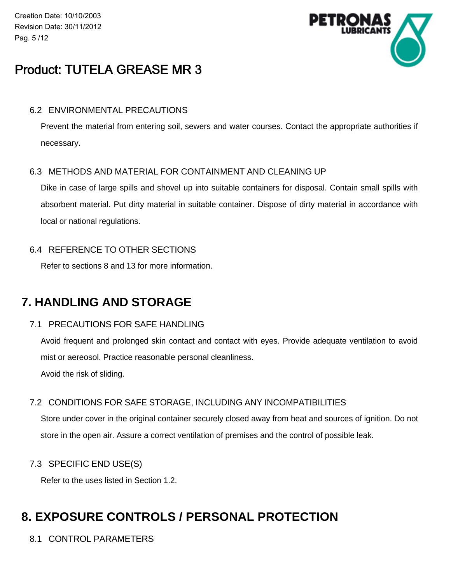Creation Date: 10/10/2003 Revision Date: 30/11/2012 Pag. 5 /12



# Product: TUTELA GREASE MR 3

#### 6.2 ENVIRONMENTAL PRECAUTIONS

Prevent the material from entering soil, sewers and water courses. Contact the appropriate authorities if necessary.

#### 6.3 METHODS AND MATERIAL FOR CONTAINMENT AND CLEANING UP

Dike in case of large spills and shovel up into suitable containers for disposal. Contain small spills with absorbent material. Put dirty material in suitable container. Dispose of dirty material in accordance with local or national regulations.

### 6.4 REFERENCE TO OTHER SECTIONS

Refer to sections 8 and 13 for more information.

## **7. HANDLING AND STORAGE**

#### 7.1 PRECAUTIONS FOR SAFE HANDLING

Avoid frequent and prolonged skin contact and contact with eyes. Provide adequate ventilation to avoid mist or aereosol. Practice reasonable personal cleanliness.

Avoid the risk of sliding.

### 7.2 CONDITIONS FOR SAFE STORAGE, INCLUDING ANY INCOMPATIBILITIES

Store under cover in the original container securely closed away from heat and sources of ignition. Do not store in the open air. Assure a correct ventilation of premises and the control of possible leak.

#### 7.3 SPECIFIC END USE(S)

Refer to the uses listed in Section 1.2.

## **8. EXPOSURE CONTROLS / PERSONAL PROTECTION**

8.1 CONTROL PARAMETERS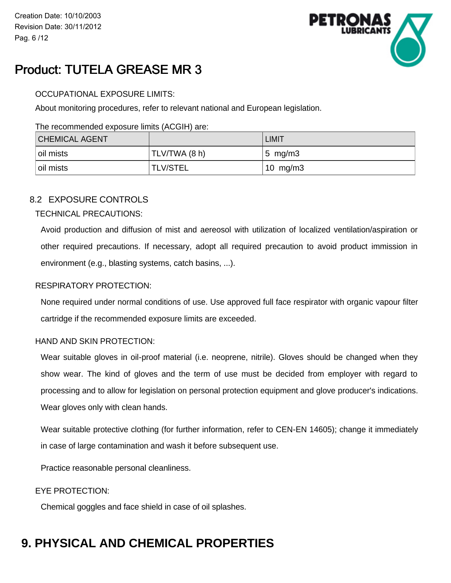

# Product: TUTELA GREASE MR 3

#### OCCUPATIONAL EXPOSURE LIMITS:

About monitoring procedures, refer to relevant national and European legislation.

#### The recommended exposure limits (ACGIH) are:

| <b>CHEMICAL AGENT</b> |               | <b>LIMIT</b>        |
|-----------------------|---------------|---------------------|
| oil mists             | TLV/TWA (8 h) | $ 5 \text{ mg/m3} $ |
| oil mists             | TLV/STEL      | 10 $mg/m3$          |

### 8.2 EXPOSURE CONTROLS

#### TECHNICAL PRECAUTIONS:

Avoid production and diffusion of mist and aereosol with utilization of localized ventilation/aspiration or other required precautions. If necessary, adopt all required precaution to avoid product immission in environment (e.g., blasting systems, catch basins, ...).

#### RESPIRATORY PROTECTION:

None required under normal conditions of use. Use approved full face respirator with organic vapour filter cartridge if the recommended exposure limits are exceeded.

#### HAND AND SKIN PROTECTION:

Wear suitable gloves in oil-proof material (i.e. neoprene, nitrile). Gloves should be changed when they show wear. The kind of gloves and the term of use must be decided from employer with regard to processing and to allow for legislation on personal protection equipment and glove producer's indications. Wear gloves only with clean hands.

Wear suitable protective clothing (for further information, refer to CEN-EN 14605); change it immediately in case of large contamination and wash it before subsequent use.

Practice reasonable personal cleanliness.

#### EYE PROTECTION:

Chemical goggles and face shield in case of oil splashes.

# **9. PHYSICAL AND CHEMICAL PROPERTIES**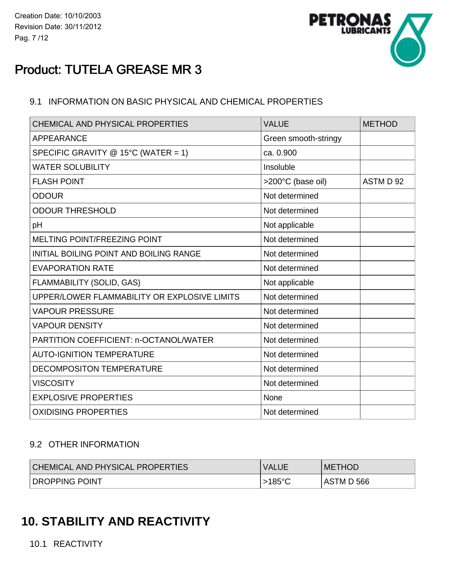

# Product: TUTELA GREASE MR 3

### 9.1 INFORMATION ON BASIC PHYSICAL AND CHEMICAL PROPERTIES

| CHEMICAL AND PHYSICAL PROPERTIES               | <b>VALUE</b>         | <b>METHOD</b> |
|------------------------------------------------|----------------------|---------------|
| <b>APPEARANCE</b>                              | Green smooth-stringy |               |
| SPECIFIC GRAVITY @ 15°C (WATER = 1)            | ca. 0.900            |               |
| <b>WATER SOLUBILITY</b>                        | Insoluble            |               |
| <b>FLASH POINT</b>                             | >200°C (base oil)    | ASTM D 92     |
| <b>ODOUR</b>                                   | Not determined       |               |
| <b>ODOUR THRESHOLD</b>                         | Not determined       |               |
| pH                                             | Not applicable       |               |
| <b>MELTING POINT/FREEZING POINT</b>            | Not determined       |               |
| <b>INITIAL BOILING POINT AND BOILING RANGE</b> | Not determined       |               |
| <b>EVAPORATION RATE</b>                        | Not determined       |               |
| FLAMMABILITY (SOLID, GAS)                      | Not applicable       |               |
| UPPER/LOWER FLAMMABILITY OR EXPLOSIVE LIMITS   | Not determined       |               |
| <b>VAPOUR PRESSURE</b>                         | Not determined       |               |
| <b>VAPOUR DENSITY</b>                          | Not determined       |               |
| PARTITION COEFFICIENT: n-OCTANOL/WATER         | Not determined       |               |
| <b>AUTO-IGNITION TEMPERATURE</b>               | Not determined       |               |
| <b>DECOMPOSITON TEMPERATURE</b>                | Not determined       |               |
| <b>VISCOSITY</b>                               | Not determined       |               |
| <b>EXPLOSIVE PROPERTIES</b>                    | None                 |               |
| <b>OXIDISING PROPERTIES</b>                    | Not determined       |               |

### 9.2 OTHER INFORMATION

| <b>CHEMICAL AND PHYSICAL PROPERTIES</b> | <b>VALUE</b>       | <b>METHOD</b> |
|-----------------------------------------|--------------------|---------------|
| <b>DROPPING POINT</b>                   | >185° <sup>∩</sup> | ASTM D 566    |

## **10. STABILITY AND REACTIVITY**

10.1 REACTIVITY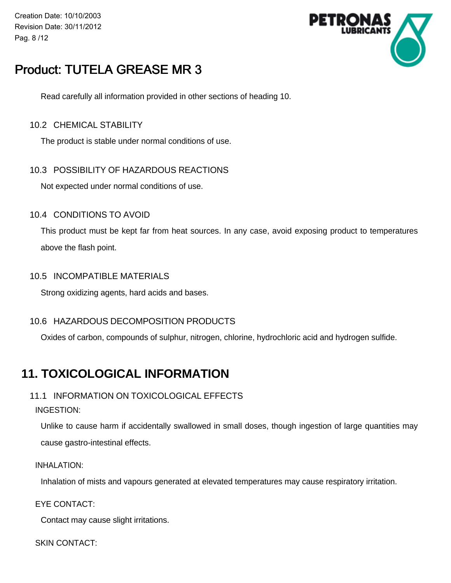Creation Date: 10/10/2003 Revision Date: 30/11/2012 Pag. 8 /12



# Product: TUTELA GREASE MR 3

Read carefully all information provided in other sections of heading 10.

#### 10.2 CHEMICAL STABILITY

The product is stable under normal conditions of use.

#### 10.3 POSSIBILITY OF HAZARDOUS REACTIONS

Not expected under normal conditions of use.

#### 10.4 CONDITIONS TO AVOID

This product must be kept far from heat sources. In any case, avoid exposing product to temperatures above the flash point.

#### 10.5 INCOMPATIBLE MATERIALS

Strong oxidizing agents, hard acids and bases.

#### 10.6 HAZARDOUS DECOMPOSITION PRODUCTS

Oxides of carbon, compounds of sulphur, nitrogen, chlorine, hydrochloric acid and hydrogen sulfide.

## **11. TOXICOLOGICAL INFORMATION**

### 11.1 INFORMATION ON TOXICOLOGICAL EFFECTS

#### INGESTION:

Unlike to cause harm if accidentally swallowed in small doses, though ingestion of large quantities may cause gastro-intestinal effects.

#### INHALATION:

Inhalation of mists and vapours generated at elevated temperatures may cause respiratory irritation.

EYE CONTACT:

Contact may cause slight irritations.

SKIN CONTACT: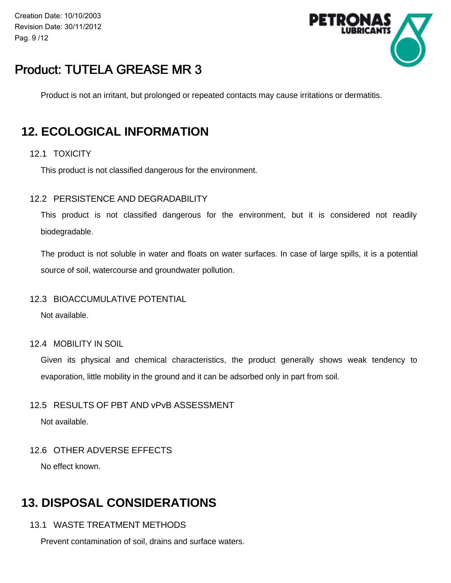Creation Date: 10/10/2003 Revision Date: 30/11/2012 Pag. 9 /12



# Product: TUTELA GREASE MR 3

Product is not an irritant, but prolonged or repeated contacts may cause irritations or dermatitis.

## **12. ECOLOGICAL INFORMATION**

#### 12.1 TOXICITY

This product is not classified dangerous for the environment.

#### 12.2 PERSISTENCE AND DEGRADABILITY

This product is not classified dangerous for the environment, but it is considered not readily biodegradable.

The product is not soluble in water and floats on water surfaces. In case of large spills, it is a potential source of soil, watercourse and groundwater pollution.

#### 12.3 BIOACCUMULATIVE POTENTIAL

Not available.

12.4 MOBILITY IN SOIL

Given its physical and chemical characteristics, the product generally shows weak tendency to evaporation, little mobility in the ground and it can be adsorbed only in part from soil.

#### 12.5 RESULTS OF PBT AND vPvB ASSESSMENT

Not available.

#### 12.6 OTHER ADVERSE EFFECTS

No effect known.

## **13. DISPOSAL CONSIDERATIONS**

#### 13.1 WASTE TREATMENT METHODS

Prevent contamination of soil, drains and surface waters.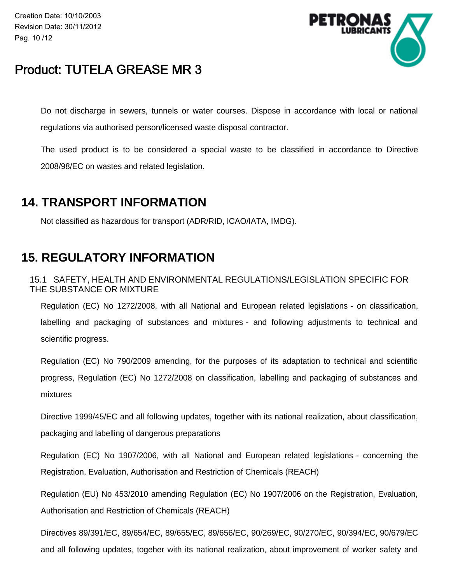Creation Date: 10/10/2003 Revision Date: 30/11/2012 Pag. 10 /12



## Product: TUTELA GREASE MR 3

Do not discharge in sewers, tunnels or water courses. Dispose in accordance with local or national regulations via authorised person/licensed waste disposal contractor.

The used product is to be considered a special waste to be classified in accordance to Directive 2008/98/EC on wastes and related legislation.

## **14. TRANSPORT INFORMATION**

Not classified as hazardous for transport (ADR/RID, ICAO/IATA, IMDG).

## **15. REGULATORY INFORMATION**

15.1 SAFETY, HEALTH AND ENVIRONMENTAL REGULATIONS/LEGISLATION SPECIFIC FOR THE SUBSTANCE OR MIXTURE

Regulation (EC) No 1272/2008, with all National and European related legislations - on classification, labelling and packaging of substances and mixtures - and following adjustments to technical and scientific progress.

Regulation (EC) No 790/2009 amending, for the purposes of its adaptation to technical and scientific progress, Regulation (EC) No 1272/2008 on classification, labelling and packaging of substances and mixtures

Directive 1999/45/EC and all following updates, together with its national realization, about classification, packaging and labelling of dangerous preparations

Regulation (EC) No 1907/2006, with all National and European related legislations - concerning the Registration, Evaluation, Authorisation and Restriction of Chemicals (REACH)

Regulation (EU) No 453/2010 amending Regulation (EC) No 1907/2006 on the Registration, Evaluation, Authorisation and Restriction of Chemicals (REACH)

Directives 89/391/EC, 89/654/EC, 89/655/EC, 89/656/EC, 90/269/EC, 90/270/EC, 90/394/EC, 90/679/EC and all following updates, togeher with its national realization, about improvement of worker safety and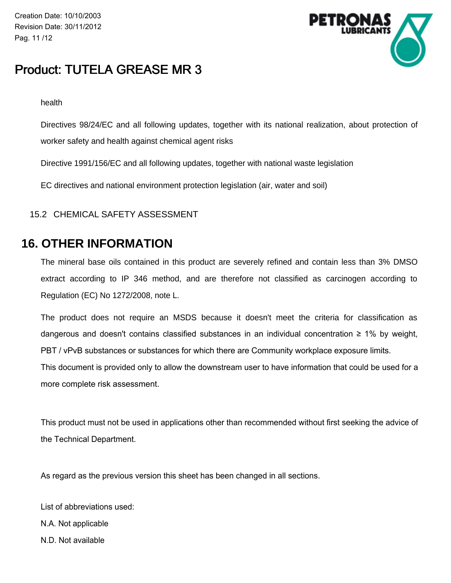Creation Date: 10/10/2003 Revision Date: 30/11/2012 Pag. 11 /12



## Product: TUTELA GREASE MR 3

health

Directives 98/24/EC and all following updates, together with its national realization, about protection of worker safety and health against chemical agent risks

Directive 1991/156/EC and all following updates, together with national waste legislation

EC directives and national environment protection legislation (air, water and soil)

### 15.2 CHEMICAL SAFETY ASSESSMENT

### **16. OTHER INFORMATION**

The mineral base oils contained in this product are severely refined and contain less than 3% DMSO extract according to IP 346 method, and are therefore not classified as carcinogen according to Regulation (EC) No 1272/2008, note L.

The product does not require an MSDS because it doesn't meet the criteria for classification as dangerous and doesn't contains classified substances in an individual concentration  $\geq 1\%$  by weight, PBT / vPvB substances or substances for which there are Community workplace exposure limits.

This document is provided only to allow the downstream user to have information that could be used for a more complete risk assessment.

This product must not be used in applications other than recommended without first seeking the advice of the Technical Department.

As regard as the previous version this sheet has been changed in all sections.

- List of abbreviations used: N.A. Not applicable
- N.D. Not available